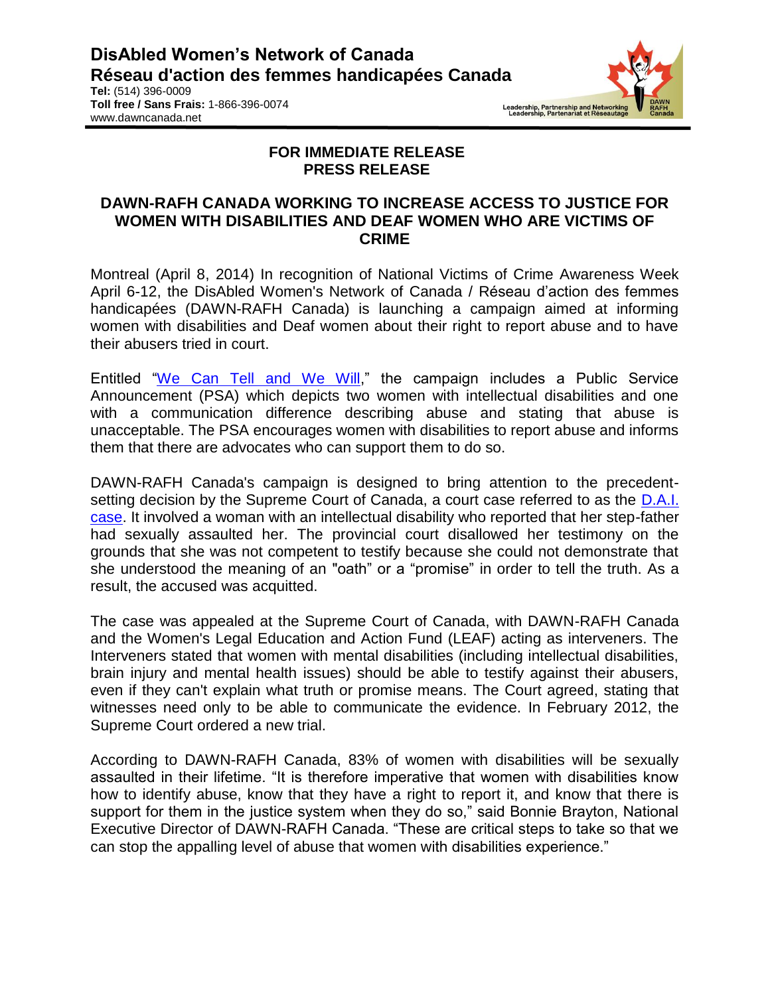**Tel:** (514) 396-0009 **Toll free / Sans Frais:** 1-866-396-0074 www.dawncanada.net



## **FOR IMMEDIATE RELEASE PRESS RELEASE**

## **DAWN-RAFH CANADA WORKING TO INCREASE ACCESS TO JUSTICE FOR WOMEN WITH DISABILITIES AND DEAF WOMEN WHO ARE VICTIMS OF CRIME**

Montreal (April 8, 2014) In recognition of National Victims of Crime Awareness Week April 6-12, the DisAbled Women's Network of Canada / Réseau d'action des femmes handicapées (DAWN-RAFH Canada) is launching a campaign aimed at informing women with disabilities and Deaf women about their right to report abuse and to have their abusers tried in court.

Entitled ["We Can Tell and We Will,](http://youtu.be/i1i18h7TEBw)" the campaign includes a Public Service Announcement (PSA) which depicts two women with intellectual disabilities and one with a communication difference describing abuse and stating that abuse is unacceptable. The PSA encourages women with disabilities to report abuse and informs them that there are advocates who can support them to do so.

DAWN-RAFH Canada's campaign is designed to bring attention to the precedentsetting decision by the Supreme Court of Canada, a court case referred to as the D.A.I. [case.](http://leaf.ca/cases/r-v-d-a-i/) It involved a woman with an intellectual disability who reported that her step-father had sexually assaulted her. The provincial court disallowed her testimony on the grounds that she was not competent to testify because she could not demonstrate that she understood the meaning of an "oath" or a "promise" in order to tell the truth. As a result, the accused was acquitted.

The case was appealed at the Supreme Court of Canada, with DAWN-RAFH Canada and the Women's Legal Education and Action Fund (LEAF) acting as interveners. The Interveners stated that women with mental disabilities (including intellectual disabilities, brain injury and mental health issues) should be able to testify against their abusers, even if they can't explain what truth or promise means. The Court agreed, stating that witnesses need only to be able to communicate the evidence. In February 2012, the Supreme Court ordered a new trial.

According to DAWN-RAFH Canada, 83% of women with disabilities will be sexually assaulted in their lifetime. "It is therefore imperative that women with disabilities know how to identify abuse, know that they have a right to report it, and know that there is support for them in the justice system when they do so," said Bonnie Brayton, National Executive Director of DAWN-RAFH Canada. "These are critical steps to take so that we can stop the appalling level of abuse that women with disabilities experience."